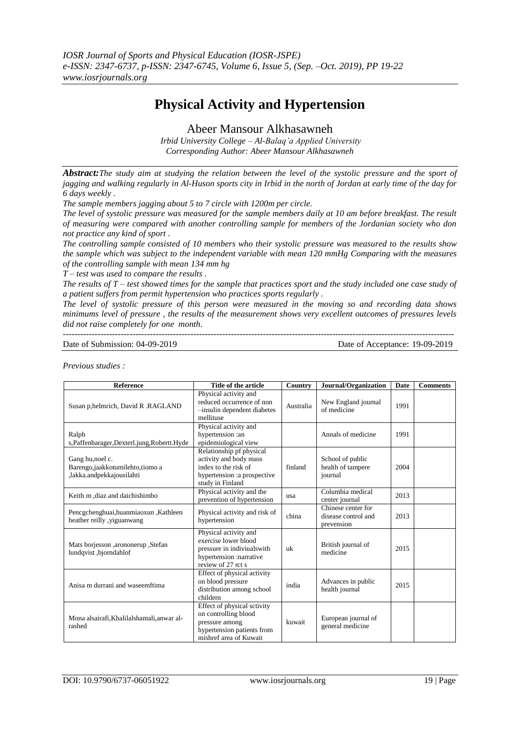# **Physical Activity and Hypertension**

Abeer Mansour Alkhasawneh

*Irbid University College – Al-Balaq'a Applied University Corresponding Author: Abeer Mansour Alkhasawneh*

*Abstract:The study aim at studying the relation between the level of the systolic pressure and the sport of jagging and walking regularly in Al-Huson sports city in Irbid in the north of Jordan at early time of the day for 6 days weekly .*

*The sample members jagging about 5 to 7 circle with 1200m per circle.*

*The level of systolic pressure was measured for the sample members daily at 10 am before breakfast. The result of measuring were compared with another controlling sample for members of the Jordanian society who don not practice any kind of sport .* 

*The controlling sample consisted of 10 members who their systolic pressure was measured to the results show the sample which was subject to the independent variable with mean 120 mmHg Comparing with the measures of the controlling sample with mean 134 mm hg*

*T – test was used to compare the results .*

*The results of T – test showed times for the sample that practices sport and the study included one case study of a patient suffers from permit hypertension who practices sports regularly .*

*The level of systolic pressure of this person were measured in the moving so and recording data shows minimums level of pressure , the results of the measurement shows very excellent outcomes of pressures levels did not raise completely for one month.* 

---------------------------------------------------------------------------------------------------------------------------------------

Date of Submission: 04-09-2019 Date of Acceptance: 19-09-2019

*Previous studies :*

| <b>Reference</b>                                                                   | Title of the article                                                                                                           | Country   | Journal/Organization                                    | Date | <b>Comments</b> |
|------------------------------------------------------------------------------------|--------------------------------------------------------------------------------------------------------------------------------|-----------|---------------------------------------------------------|------|-----------------|
| Susan p, helmrich, David R. RAGLAND                                                | Physical activity and<br>reduced occurrence of non<br>-insulin dependent diabetes<br>mellituse                                 | Australia | New England journal<br>of medicine                      | 1991 |                 |
| Ralph<br>s, Paffenbarager, Dexterl.jung, Robertt. Hyde                             | Physical activity and<br>hypertension :an<br>epidemiological view                                                              |           | Annals of medicine                                      | 1991 |                 |
| Gang hu, noel c.<br>Barengo, jaakkotumilehto, tiomo a<br>,lakka.andpekkajousilahti | Relationship pf physical<br>activity and body mass<br>index to the risk of<br>hypertension : a prospective<br>study in Finland | finland   | School of public<br>health of tampere<br>journal        | 2004 |                 |
| Keith m ,diaz and daichishimbo                                                     | Physical activity and the<br>prevention of hypertension                                                                        | usa       | Columbia medical<br>center journal                      | 2013 |                 |
| Pencgchenghuai,huanmiaoxun,Kathleen<br>heather reilly, yiguanwang                  | Physical activity and risk of<br>hypertension                                                                                  | china     | Chinese center for<br>disease control and<br>prevension | 2013 |                 |
| Mats borjesson ,arononerup ,Stefan<br>lundqvist, bjorndahlof                       | Physical activity and<br>exercise lower blood<br>pressure in indiviuals with<br>hypertension :narrative<br>review of 27 rct s  | uk        | British journal of<br>medicine                          | 2015 |                 |
| Anisa m durrani and waseemftima                                                    | Effect of physical activity<br>on blood pressure<br>distribution among school<br>childern                                      | india     | Advances in public<br>health journal                    | 2015 |                 |
| Mona alsairafi, Khalilalshamali, anwar al-<br>rashed                               | Effect of physical sctivity<br>on controlling blood<br>pressure among<br>hypertension patients from<br>mishref area of Kuwait  | kuwait    | European journal of<br>general medicine                 |      |                 |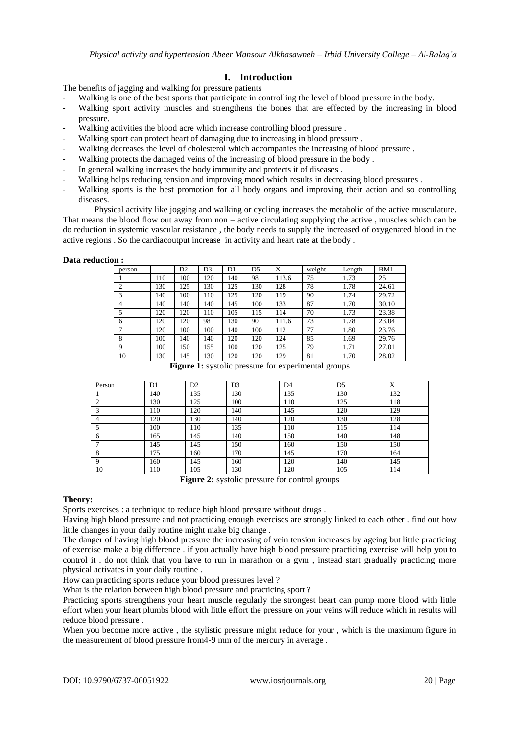## **I. Introduction**

The benefits of jagging and walking for pressure patients

- Walking is one of the best sports that participate in controlling the level of blood pressure in the body.
- Walking sport activity muscles and strengthens the bones that are effected by the increasing in blood pressure.
- Walking activities the blood acre which increase controlling blood pressure .
- Walking sport can protect heart of damaging due to increasing in blood pressure.
- Walking decreases the level of cholesterol which accompanies the increasing of blood pressure .
- Walking protects the damaged veins of the increasing of blood pressure in the body.
- In general walking increases the body immunity and protects it of diseases.
- Walking helps reducing tension and improving mood which results in decreasing blood pressures.
- Walking sports is the best promotion for all body organs and improving their action and so controlling diseases.

Physical activity like jogging and walking or cycling increases the metabolic of the active musculature. That means the blood flow out away from non – active circulating supplying the active , muscles which can be do reduction in systemic vascular resistance , the body needs to supply the increased of oxygenated blood in the active regions . So the cardiacoutput increase in activity and heart rate at the body .

#### **Data reduction :**

| person         |     | D <sub>2</sub> | D <sub>3</sub> | D1  | D5  | X     | weight | Length | BMI   |
|----------------|-----|----------------|----------------|-----|-----|-------|--------|--------|-------|
|                | 110 | 100            | 120            | 140 | 98  | 113.6 | 75     | 1.73   | 25    |
| $\overline{2}$ | 130 | 125            | 130            | 125 | 130 | 128   | 78     | 1.78   | 24.61 |
| 3              | 140 | 100            | 110            | 125 | 120 | 119   | 90     | 1.74   | 29.72 |
| $\overline{4}$ | 140 | 140            | 140            | 145 | 100 | 133   | 87     | 1.70   | 30.10 |
| 5              | 120 | 120            | 110            | 105 | 115 | 114   | 70     | 1.73   | 23.38 |
| 6              | 120 | 120            | 98             | 130 | 90  | 111.6 | 73     | 1.78   | 23.04 |
| 7              | 120 | 100            | 100            | 140 | 100 | 112   | 77     | 1.80   | 23.76 |
| 8              | 100 | 140            | 140            | 120 | 120 | 124   | 85     | 1.69   | 29.76 |
| 9              | 100 | 150            | 155            | 100 | 120 | 125   | 79     | 1.71   | 27.01 |
| 10             | 130 | 145            | 130            | 120 | 120 | 129   | 81     | 1.70   | 28.02 |

**Figure 1:** systolic pressure for experimental groups

| Person                                                                                                                                                                                                                                                                                                                                                                                                            | D1  | D <sub>2</sub> | D <sub>3</sub> | D <sub>4</sub> | D <sub>5</sub> | X   |  |  |
|-------------------------------------------------------------------------------------------------------------------------------------------------------------------------------------------------------------------------------------------------------------------------------------------------------------------------------------------------------------------------------------------------------------------|-----|----------------|----------------|----------------|----------------|-----|--|--|
|                                                                                                                                                                                                                                                                                                                                                                                                                   | 140 | 135            | 130            | 135            | 130            | 132 |  |  |
|                                                                                                                                                                                                                                                                                                                                                                                                                   | 130 | 125            | 100            | 110            | 125            | 118 |  |  |
|                                                                                                                                                                                                                                                                                                                                                                                                                   | 10  | 120            | 140            | 145            | 120            | 129 |  |  |
|                                                                                                                                                                                                                                                                                                                                                                                                                   | 120 | 130            | 140            | 120            | 130            | 128 |  |  |
|                                                                                                                                                                                                                                                                                                                                                                                                                   | 100 | 110            | 135            | 110            | 115            | 114 |  |  |
| 6                                                                                                                                                                                                                                                                                                                                                                                                                 | 165 | 145            | 140            | 150            | 140            | 148 |  |  |
|                                                                                                                                                                                                                                                                                                                                                                                                                   | 145 | 145            | 150            | 160            | 150            | 150 |  |  |
| 8                                                                                                                                                                                                                                                                                                                                                                                                                 | 175 | 160            | 170            | 145            | 170            | 164 |  |  |
| $\mathbf{Q}$                                                                                                                                                                                                                                                                                                                                                                                                      | 160 | 145            | 160            | 120            | 140            | 145 |  |  |
| 10                                                                                                                                                                                                                                                                                                                                                                                                                | 110 | 105            | 130            | 120            | 105            | 114 |  |  |
| $\mathbf{E}^{(i)}$ $\mathbf{A}$ $\mathbf{I}^{(i)}$<br>$\mathcal{C}$ $\mathcal{C}$ $\mathcal{C}$ $\mathcal{C}$ $\mathcal{C}$ $\mathcal{C}$ $\mathcal{C}$ $\mathcal{C}$ $\mathcal{C}$ $\mathcal{C}$ $\mathcal{C}$ $\mathcal{C}$ $\mathcal{C}$ $\mathcal{C}$ $\mathcal{C}$ $\mathcal{C}$ $\mathcal{C}$ $\mathcal{C}$ $\mathcal{C}$ $\mathcal{C}$ $\mathcal{C}$ $\mathcal{C}$ $\mathcal{C}$ $\mathcal{C}$ $\mathcal{$ |     |                |                |                |                |     |  |  |

**Figure 2:** systolic pressure for control groups

#### **Theory:**

Sports exercises : a technique to reduce high blood pressure without drugs .

Having high blood pressure and not practicing enough exercises are strongly linked to each other . find out how little changes in your daily routine might make big change .

The danger of having high blood pressure the increasing of vein tension increases by ageing but little practicing of exercise make a big difference . if you actually have high blood pressure practicing exercise will help you to control it . do not think that you have to run in marathon or a gym , instead start gradually practicing more physical activates in your daily routine .

How can practicing sports reduce your blood pressures level ?

What is the relation between high blood pressure and practicing sport ?

Practicing sports strengthens your heart muscle regularly the strongest heart can pump more blood with little effort when your heart plumbs blood with little effort the pressure on your veins will reduce which in results will reduce blood pressure .

When you become more active, the stylistic pressure might reduce for your, which is the maximum figure in the measurement of blood pressure from4-9 mm of the mercury in average .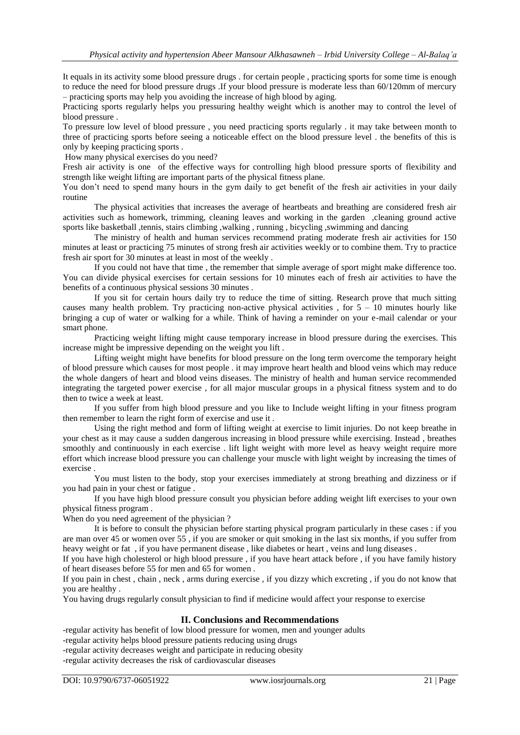It equals in its activity some blood pressure drugs . for certain people , practicing sports for some time is enough to reduce the need for blood pressure drugs .If your blood pressure is moderate less than 60/120mm of mercury – practicing sports may help you avoiding the increase of high blood by aging.

Practicing sports regularly helps you pressuring healthy weight which is another may to control the level of blood pressure .

To pressure low level of blood pressure , you need practicing sports regularly . it may take between month to three of practicing sports before seeing a noticeable effect on the blood pressure level . the benefits of this is only by keeping practicing sports .

How many physical exercises do you need?

Fresh air activity is one of the effective ways for controlling high blood pressure sports of flexibility and strength like weight lifting are important parts of the physical fitness plane.

You don't need to spend many hours in the gym daily to get benefit of the fresh air activities in your daily routine

The physical activities that increases the average of heartbeats and breathing are considered fresh air activities such as homework, trimming, cleaning leaves and working in the garden ,cleaning ground active sports like basketball ,tennis, stairs climbing ,walking , running , bicycling ,swimming and dancing

The ministry of health and human services recommend prating moderate fresh air activities for 150 minutes at least or practicing 75 minutes of strong fresh air activities weekly or to combine them. Try to practice fresh air sport for 30 minutes at least in most of the weekly .

If you could not have that time , the remember that simple average of sport might make difference too. You can divide physical exercises for certain sessions for 10 minutes each of fresh air activities to have the benefits of a continuous physical sessions 30 minutes .

If you sit for certain hours daily try to reduce the time of sitting. Research prove that much sitting causes many health problem. Try practicing non-active physical activities, for  $5 - 10$  minutes hourly like bringing a cup of water or walking for a while. Think of having a reminder on your e-mail calendar or your smart phone.

Practicing weight lifting might cause temporary increase in blood pressure during the exercises. This increase might be impressive depending on the weight you lift .

Lifting weight might have benefits for blood pressure on the long term overcome the temporary height of blood pressure which causes for most people . it may improve heart health and blood veins which may reduce the whole dangers of heart and blood veins diseases. The ministry of health and human service recommended integrating the targeted power exercise , for all major muscular groups in a physical fitness system and to do then to twice a week at least.

If you suffer from high blood pressure and you like to Include weight lifting in your fitness program then remember to learn the right form of exercise and use it .

Using the right method and form of lifting weight at exercise to limit injuries. Do not keep breathe in your chest as it may cause a sudden dangerous increasing in blood pressure while exercising. Instead , breathes smoothly and continuously in each exercise . lift light weight with more level as heavy weight require more effort which increase blood pressure you can challenge your muscle with light weight by increasing the times of exercise .

You must listen to the body, stop your exercises immediately at strong breathing and dizziness or if you had pain in your chest or fatigue .

If you have high blood pressure consult you physician before adding weight lift exercises to your own physical fitness program .

When do you need agreement of the physician ?

It is before to consult the physician before starting physical program particularly in these cases : if you are man over 45 or women over 55 , if you are smoker or quit smoking in the last six months, if you suffer from heavy weight or fat , if you have permanent disease , like diabetes or heart , veins and lung diseases .

If you have high cholesterol or high blood pressure , if you have heart attack before , if you have family history of heart diseases before 55 for men and 65 for women .

If you pain in chest , chain , neck , arms during exercise , if you dizzy which excreting , if you do not know that you are healthy .

You having drugs regularly consult physician to find if medicine would affect your response to exercise

### **II. Conclusions and Recommendations**

-regular activity has benefit of low blood pressure for women, men and younger adults -regular activity helps blood pressure patients reducing using drugs -regular activity decreases weight and participate in reducing obesity

-regular activity decreases the risk of cardiovascular diseases